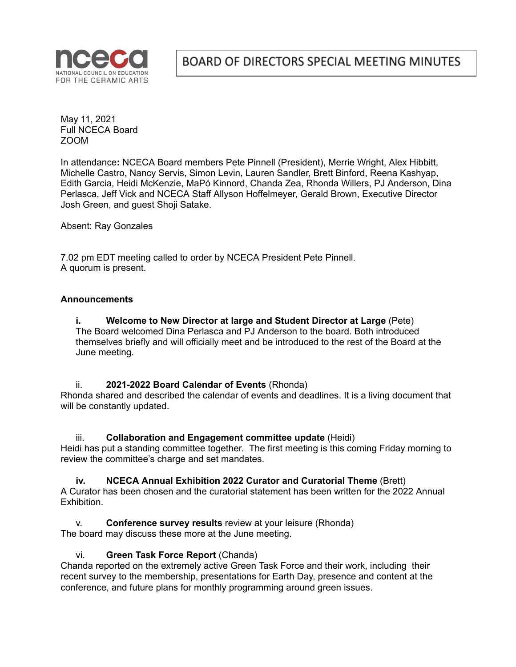

BOARD OF DIRECTORS SPECIAL MEETING MINUTES

May 11, 2021 Full NCECA Board ZOOM

In attendance**:** NCECA Board members Pete Pinnell (President), Merrie Wright, Alex Hibbitt, Michelle Castro, Nancy Servis, Simon Levin, Lauren Sandler, Brett Binford, Reena Kashyap, Edith Garcia, Heidi McKenzie, MaPó Kinnord, Chanda Zea, Rhonda Willers, PJ Anderson, Dina Perlasca, Jeff Vick and NCECA Staff Allyson Hoffelmeyer, Gerald Brown, Executive Director Josh Green, and guest Shoji Satake.

Absent: Ray Gonzales

7.02 pm EDT meeting called to order by NCECA President Pete Pinnell. A quorum is present.

## **Announcements**

**i. Welcome to New Director at large and Student Director at Large** (Pete) The Board welcomed Dina Perlasca and PJ Anderson to the board. Both introduced themselves briefly and will officially meet and be introduced to the rest of the Board at the June meeting.

### ii. **2021-2022 Board Calendar of Events** (Rhonda)

Rhonda shared and described the calendar of events and deadlines. It is a living document that will be constantly updated.

### iii. **Collaboration and Engagement committee update** (Heidi)

Heidi has put a standing committee together. The first meeting is this coming Friday morning to review the committee's charge and set mandates.

**iv. NCECA Annual Exhibition 2022 Curator and Curatorial Theme** (Brett) A Curator has been chosen and the curatorial statement has been written for the 2022 Annual Exhibition.

v. **Conference survey results** review at your leisure (Rhonda) The board may discuss these more at the June meeting.

### vi. **Green Task Force Report** (Chanda)

Chanda reported on the extremely active Green Task Force and their work, including their recent survey to the membership, presentations for Earth Day, presence and content at the conference, and future plans for monthly programming around green issues.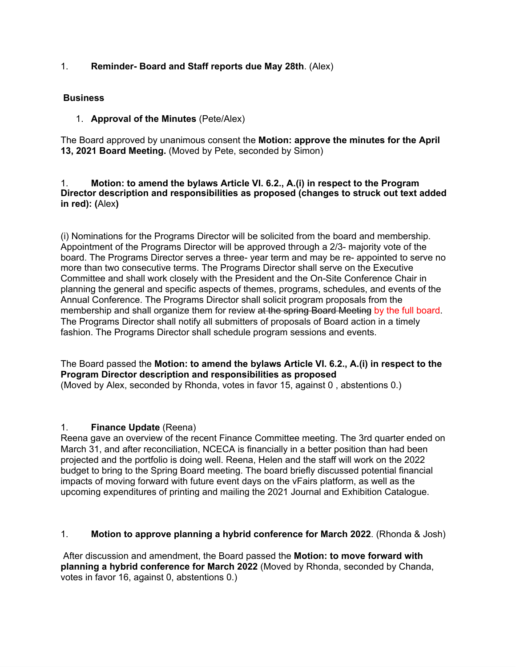# 1. **Reminder- Board and Staff reports due May 28th**. (Alex)

## **Business**

# 1. **Approval of the Minutes** (Pete/Alex)

The Board approved by unanimous consent the **Motion: approve the minutes for the April 13, 2021 Board Meeting.** (Moved by Pete, seconded by Simon)

### 1. **Motion: to amend the bylaws Article VI. 6.2., A.(i) in respect to the Program Director description and responsibilities as proposed (changes to struck out text added in red): (**Alex**)**

(i) Nominations for the Programs Director will be solicited from the board and membership. Appointment of the Programs Director will be approved through a 2/3- majority vote of the board. The Programs Director serves a three- year term and may be re- appointed to serve no more than two consecutive terms. The Programs Director shall serve on the Executive Committee and shall work closely with the President and the On-Site Conference Chair in planning the general and specific aspects of themes, programs, schedules, and events of the Annual Conference. The Programs Director shall solicit program proposals from the membership and shall organize them for review at the spring Board Meeting by the full board. The Programs Director shall notify all submitters of proposals of Board action in a timely fashion. The Programs Director shall schedule program sessions and events.

The Board passed the **Motion: to amend the bylaws Article VI. 6.2., A.(i) in respect to the Program Director description and responsibilities as proposed**

(Moved by Alex, seconded by Rhonda, votes in favor 15, against 0 , abstentions 0.)

## 1. **Finance Update** (Reena)

Reena gave an overview of the recent Finance Committee meeting. The 3rd quarter ended on March 31, and after reconciliation, NCECA is financially in a better position than had been projected and the portfolio is doing well. Reena, Helen and the staff will work on the 2022 budget to bring to the Spring Board meeting. The board briefly discussed potential financial impacts of moving forward with future event days on the vFairs platform, as well as the upcoming expenditures of printing and mailing the 2021 Journal and Exhibition Catalogue.

## 1. **Motion to approve planning a hybrid conference for March 2022**. (Rhonda & Josh)

After discussion and amendment, the Board passed the **Motion: to move forward with planning a hybrid conference for March 2022** (Moved by Rhonda, seconded by Chanda, votes in favor 16, against 0, abstentions 0.)